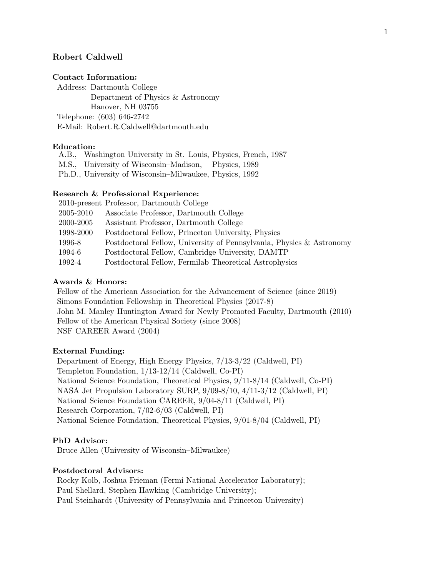# Robert Caldwell

## Contact Information:

Address: Dartmouth College Department of Physics & Astronomy Hanover, NH 03755 Telephone: (603) 646-2742 E-Mail: Robert.R.Caldwell@dartmouth.edu

## Education:

A.B., Washington University in St. Louis, Physics, French, 1987

M.S., University of Wisconsin–Madison, Physics, 1989

Ph.D., University of Wisconsin–Milwaukee, Physics, 1992

#### Research & Professional Experience:

|           | 2010-present Professor, Dartmouth College                            |
|-----------|----------------------------------------------------------------------|
| 2005-2010 | Associate Professor, Dartmouth College                               |
| 2000-2005 | Assistant Professor, Dartmouth College                               |
| 1998-2000 | Postdoctoral Fellow, Princeton University, Physics                   |
| 1996-8    | Postdoctoral Fellow, University of Pennsylvania, Physics & Astronomy |
| 1994-6    | Postdoctoral Fellow, Cambridge University, DAMTP                     |
| 1992-4    | Postdoctoral Fellow, Fermilab Theoretical Astrophysics               |
|           |                                                                      |

## Awards & Honors:

Fellow of the American Association for the Advancement of Science (since 2019) Simons Foundation Fellowship in Theoretical Physics (2017-8) John M. Manley Huntington Award for Newly Promoted Faculty, Dartmouth (2010) Fellow of the American Physical Society (since 2008) NSF CAREER Award (2004)

## External Funding:

Department of Energy, High Energy Physics, 7/13-3/22 (Caldwell, PI) Templeton Foundation, 1/13-12/14 (Caldwell, Co-PI) National Science Foundation, Theoretical Physics, 9/11-8/14 (Caldwell, Co-PI) NASA Jet Propulsion Laboratory SURP, 9/09-8/10, 4/11-3/12 (Caldwell, PI) National Science Foundation CAREER, 9/04-8/11 (Caldwell, PI) Research Corporation, 7/02-6/03 (Caldwell, PI) National Science Foundation, Theoretical Physics, 9/01-8/04 (Caldwell, PI)

## PhD Advisor:

Bruce Allen (University of Wisconsin–Milwaukee)

### Postdoctoral Advisors:

Rocky Kolb, Joshua Frieman (Fermi National Accelerator Laboratory); Paul Shellard, Stephen Hawking (Cambridge University); Paul Steinhardt (University of Pennsylvania and Princeton University)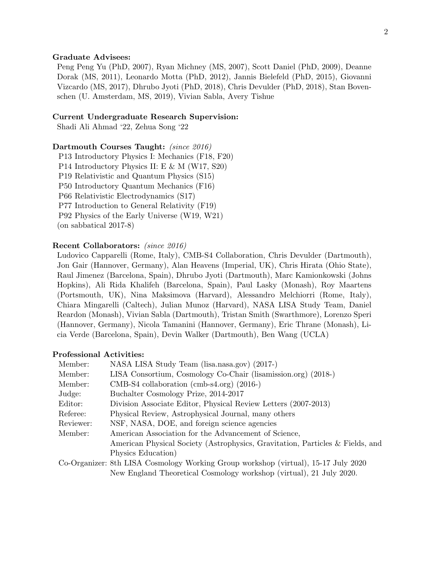#### Graduate Advisees:

Peng Peng Yu (PhD, 2007), Ryan Michney (MS, 2007), Scott Daniel (PhD, 2009), Deanne Dorak (MS, 2011), Leonardo Motta (PhD, 2012), Jannis Bielefeld (PhD, 2015), Giovanni Vizcardo (MS, 2017), Dhrubo Jyoti (PhD, 2018), Chris Devulder (PhD, 2018), Stan Bovenschen (U. Amsterdam, MS, 2019), Vivian Sabla, Avery Tishue

#### Current Undergraduate Research Supervision:

Shadi Ali Ahmad '22, Zehua Song '22

## Dartmouth Courses Taught: (since 2016)

P13 Introductory Physics I: Mechanics (F18, F20) P14 Introductory Physics II: E & M (W17, S20) P19 Relativistic and Quantum Physics (S15) P50 Introductory Quantum Mechanics (F16) P66 Relativistic Electrodynamics (S17) P77 Introduction to General Relativity (F19) P92 Physics of the Early Universe (W19, W21) (on sabbatical 2017-8)

### Recent Collaborators: (since 2016)

Ludovico Capparelli (Rome, Italy), CMB-S4 Collaboration, Chris Devulder (Dartmouth), Jon Gair (Hannover, Germany), Alan Heavens (Imperial, UK), Chris Hirata (Ohio State), Raul Jimenez (Barcelona, Spain), Dhrubo Jyoti (Dartmouth), Marc Kamionkowski (Johns Hopkins), Ali Rida Khalifeh (Barcelona, Spain), Paul Lasky (Monash), Roy Maartens (Portsmouth, UK), Nina Maksimova (Harvard), Alessandro Melchiorri (Rome, Italy), Chiara Mingarelli (Caltech), Julian Munoz (Harvard), NASA LISA Study Team, Daniel Reardon (Monash), Vivian Sabla (Dartmouth), Tristan Smith (Swarthmore), Lorenzo Speri (Hannover, Germany), Nicola Tamanini (Hannover, Germany), Eric Thrane (Monash), Licia Verde (Barcelona, Spain), Devin Walker (Dartmouth), Ben Wang (UCLA)

#### Professional Activities:

| Member:   | NASA LISA Study Team (lisa.nasa.gov) (2017-)                                       |
|-----------|------------------------------------------------------------------------------------|
| Member:   | LISA Consortium, Cosmology Co-Chair (lisamission.org) (2018-)                      |
| Member:   | $CMB-S4$ collaboration (cmb-s4.org) (2016-)                                        |
| Judge:    | Buchalter Cosmology Prize, 2014-2017                                               |
| Editor:   | Division Associate Editor, Physical Review Letters (2007-2013)                     |
| Referee:  | Physical Review, Astrophysical Journal, many others                                |
| Reviewer: | NSF, NASA, DOE, and foreign science agencies                                       |
| Member:   | American Association for the Advancement of Science,                               |
|           | American Physical Society (Astrophysics, Gravitation, Particles & Fields, and      |
|           | Physics Education                                                                  |
|           | Co-Organizer: 8th LISA Cosmology Working Group workshop (virtual), 15-17 July 2020 |

New England Theoretical Cosmology workshop (virtual), 21 July 2020.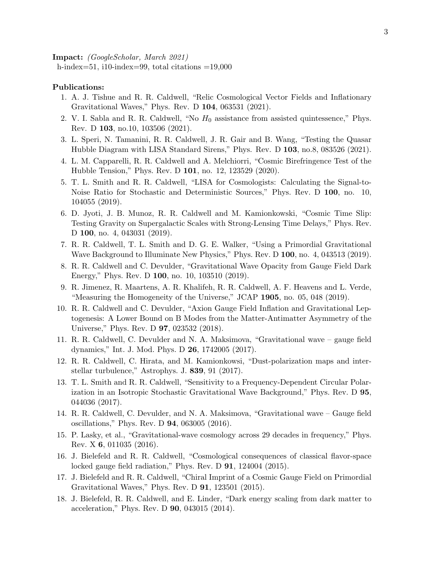Impact: (GoogleScholar, March 2021) h-index=51, i10-index=99, total citations =19,000

## Publications:

- 1. A. J. Tishue and R. R. Caldwell, "Relic Cosmological Vector Fields and Inflationary Gravitational Waves," Phys. Rev. D 104, 063531 (2021).
- 2. V. I. Sabla and R. R. Caldwell, "No  $H_0$  assistance from assisted quintessence," Phys. Rev. D 103, no.10, 103506 (2021).
- 3. L. Speri, N. Tamanini, R. R. Caldwell, J. R. Gair and B. Wang, "Testing the Quasar Hubble Diagram with LISA Standard Sirens," Phys. Rev. D 103, no.8, 083526 (2021).
- 4. L. M. Capparelli, R. R. Caldwell and A. Melchiorri, "Cosmic Birefringence Test of the Hubble Tension," Phys. Rev. D 101, no. 12, 123529 (2020).
- 5. T. L. Smith and R. R. Caldwell, "LISA for Cosmologists: Calculating the Signal-to-Noise Ratio for Stochastic and Deterministic Sources," Phys. Rev. D 100, no. 10, 104055 (2019).
- 6. D. Jyoti, J. B. Munoz, R. R. Caldwell and M. Kamionkowski, "Cosmic Time Slip: Testing Gravity on Supergalactic Scales with Strong-Lensing Time Delays," Phys. Rev. D 100, no. 4, 043031 (2019).
- 7. R. R. Caldwell, T. L. Smith and D. G. E. Walker, "Using a Primordial Gravitational Wave Background to Illuminate New Physics," Phys. Rev. D 100, no. 4, 043513 (2019).
- 8. R. R. Caldwell and C. Devulder, "Gravitational Wave Opacity from Gauge Field Dark Energy," Phys. Rev. D 100, no. 10, 103510 (2019).
- 9. R. Jimenez, R. Maartens, A. R. Khalifeh, R. R. Caldwell, A. F. Heavens and L. Verde, "Measuring the Homogeneity of the Universe," JCAP 1905, no. 05, 048 (2019).
- 10. R. R. Caldwell and C. Devulder, "Axion Gauge Field Inflation and Gravitational Leptogenesis: A Lower Bound on B Modes from the Matter-Antimatter Asymmetry of the Universe," Phys. Rev. D 97, 023532 (2018).
- 11. R. R. Caldwell, C. Devulder and N. A. Maksimova, "Gravitational wave gauge field dynamics," Int. J. Mod. Phys. D 26, 1742005 (2017).
- 12. R. R. Caldwell, C. Hirata, and M. Kamionkowsi, "Dust-polarization maps and interstellar turbulence," Astrophys. J. 839, 91 (2017).
- 13. T. L. Smith and R. R. Caldwell, "Sensitivity to a Frequency-Dependent Circular Polarization in an Isotropic Stochastic Gravitational Wave Background," Phys. Rev. D 95, 044036 (2017).
- 14. R. R. Caldwell, C. Devulder, and N. A. Maksimova, "Gravitational wave Gauge field oscillations," Phys. Rev. D 94, 063005 (2016).
- 15. P. Lasky, et al., "Gravitational-wave cosmology across 29 decades in frequency," Phys. Rev. X 6, 011035 (2016).
- 16. J. Bielefeld and R. R. Caldwell, "Cosmological consequences of classical flavor-space locked gauge field radiation," Phys. Rev. D **91**, 124004 (2015).
- 17. J. Bielefeld and R. R. Caldwell, "Chiral Imprint of a Cosmic Gauge Field on Primordial Gravitational Waves," Phys. Rev. D 91, 123501 (2015).
- 18. J. Bielefeld, R. R. Caldwell, and E. Linder, "Dark energy scaling from dark matter to acceleration," Phys. Rev. D 90, 043015 (2014).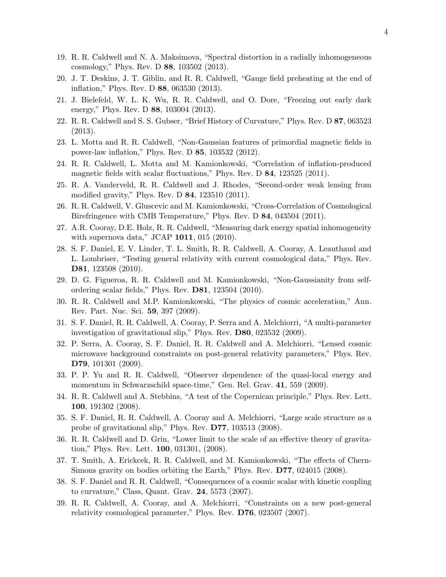- 19. R. R. Caldwell and N. A. Maksimova, "Spectral distortion in a radially inhomogeneous cosmology," Phys. Rev. D 88, 103502 (2013).
- 20. J. T. Deskins, J. T. Giblin, and R. R. Caldwell, "Gauge field preheating at the end of inflation," Phys. Rev. D 88, 063530 (2013).
- 21. J. Bielefeld, W. L. K. Wu, R. R. Caldwell, and O. Dore, "Freezing out early dark energy," Phys. Rev. D 88, 103004 (2013).
- 22. R. R. Caldwell and S. S. Gubser, "Brief History of Curvature," Phys. Rev. D 87, 063523 (2013).
- 23. L. Motta and R. R. Caldwell, "Non-Gaussian features of primordial magnetic fields in power-law inflation," Phys. Rev. D 85, 103532 (2012).
- 24. R. R. Caldwell, L. Motta and M. Kamionkowski, "Correlation of inflation-produced magnetic fields with scalar fluctuations," Phys. Rev. D 84, 123525 (2011).
- 25. R. A. Vanderveld, R. R. Caldwell and J. Rhodes, "Second-order weak lensing from modified gravity," Phys. Rev. D 84, 123510 (2011).
- 26. R. R. Caldwell, V. Gluscevic and M. Kamionkowski, "Cross-Correlation of Cosmological Birefringence with CMB Temperature," Phys. Rev. D 84, 043504 (2011).
- 27. A.R. Cooray, D.E. Holz, R. R. Caldwell, "Measuring dark energy spatial inhomogeneity with supernova data," JCAP 1011, 015 (2010).
- 28. S. F. Daniel, E. V. Linder, T. L. Smith, R. R. Caldwell, A. Cooray, A. Leauthaud and L. Lombriser, "Testing general relativity with current cosmological data," Phys. Rev. D81, 123508 (2010).
- 29. D. G. Figueroa, R. R. Caldwell and M. Kamionkowski, "Non-Gaussianity from selfordering scalar fields," Phys. Rev. D81, 123504 (2010).
- 30. R. R. Caldwell and M.P. Kamionkowski, "The physics of cosmic acceleration," Ann. Rev. Part. Nuc. Sci. 59, 397 (2009).
- 31. S. F. Daniel, R. R. Caldwell, A. Cooray, P. Serra and A. Melchiorri, "A multi-parameter investigation of gravitational slip," Phys. Rev. D80, 023532 (2009).
- 32. P. Serra, A. Cooray, S. F. Daniel, R. R. Caldwell and A. Melchiorri, "Lensed cosmic microwave background constraints on post-general relativity parameters," Phys. Rev. D79, 101301 (2009).
- 33. P. P. Yu and R. R. Caldwell, "Observer dependence of the quasi-local energy and momentum in Schwarzschild space-time," Gen. Rel. Grav. 41, 559 (2009).
- 34. R. R. Caldwell and A. Stebbins, "A test of the Copernican principle," Phys. Rev. Lett. 100, 191302 (2008).
- 35. S. F. Daniel, R. R. Caldwell, A. Cooray and A. Melchiorri, "Large scale structure as a probe of gravitational slip," Phys. Rev. D77, 103513 (2008).
- 36. R. R. Caldwell and D. Grin, "Lower limit to the scale of an effective theory of gravitation," Phys. Rev. Lett. 100, 031301, (2008).
- 37. T. Smith, A. Erickcek, R. R. Caldwell, and M. Kamionkowski, "The effects of Chern-Simons gravity on bodies orbiting the Earth," Phys. Rev. D77, 024015 (2008).
- 38. S. F. Daniel and R. R. Caldwell, "Consequences of a cosmic scalar with kinetic coupling to curvature," Class, Quant. Grav. 24, 5573 (2007).
- 39. R. R. Caldwell, A. Cooray, and A. Melchiorri, "Constraints on a new post-general relativity cosmological parameter," Phys. Rev. D76, 023507 (2007).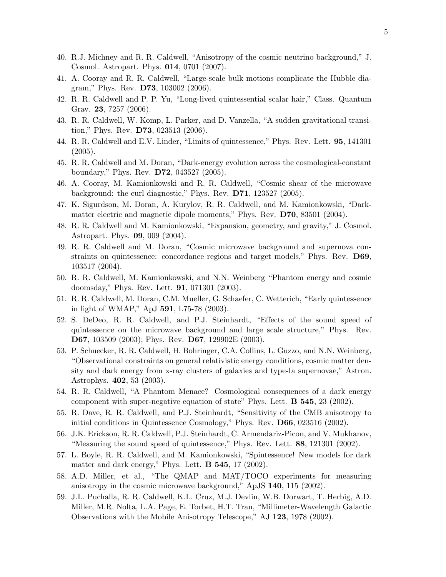- 40. R.J. Michney and R. R. Caldwell, "Anisotropy of the cosmic neutrino background," J. Cosmol. Astropart. Phys. 014, 0701 (2007).
- 41. A. Cooray and R. R. Caldwell, "Large-scale bulk motions complicate the Hubble diagram," Phys. Rev. D73, 103002 (2006).
- 42. R. R. Caldwell and P. P. Yu, "Long-lived quintessential scalar hair," Class. Quantum Grav. 23, 7257 (2006).
- 43. R. R. Caldwell, W. Komp, L. Parker, and D. Vanzella, "A sudden gravitational transition," Phys. Rev. D73, 023513 (2006).
- 44. R. R. Caldwell and E.V. Linder, "Limits of quintessence," Phys. Rev. Lett. 95, 141301  $(2005).$
- 45. R. R. Caldwell and M. Doran, "Dark-energy evolution across the cosmological-constant boundary," Phys. Rev. D72, 043527 (2005).
- 46. A. Cooray, M. Kamionkowski and R. R. Caldwell, "Cosmic shear of the microwave background: the curl diagnostic," Phys. Rev. D71, 123527 (2005).
- 47. K. Sigurdson, M. Doran, A. Kurylov, R. R. Caldwell, and M. Kamionkowski, "Darkmatter electric and magnetic dipole moments," Phys. Rev. D70, 83501 (2004).
- 48. R. R. Caldwell and M. Kamionkowski, "Expansion, geometry, and gravity," J. Cosmol. Astropart. Phys. 09, 009 (2004).
- 49. R. R. Caldwell and M. Doran, "Cosmic microwave background and supernova constraints on quintessence: concordance regions and target models," Phys. Rev. D69, 103517 (2004).
- 50. R. R. Caldwell, M. Kamionkowski, and N.N. Weinberg "Phantom energy and cosmic doomsday," Phys. Rev. Lett. 91, 071301 (2003).
- 51. R. R. Caldwell, M. Doran, C.M. Mueller, G. Schaefer, C. Wetterich, "Early quintessence in light of WMAP," ApJ 591, L75-78 (2003).
- 52. S. DeDeo, R. R. Caldwell, and P.J. Steinhardt, "Effects of the sound speed of quintessence on the microwave background and large scale structure," Phys. Rev. D67, 103509 (2003); Phys. Rev. D67, 129902E (2003).
- 53. P. Schuecker, R. R. Caldwell, H. Bohringer, C.A. Collins, L. Guzzo, and N.N. Weinberg, "Observational constraints on general relativistic energy conditions, cosmic matter density and dark energy from x-ray clusters of galaxies and type-Ia supernovae," Astron. Astrophys. 402, 53 (2003).
- 54. R. R. Caldwell, "A Phantom Menace? Cosmological consequences of a dark energy component with super-negative equation of state" Phys. Lett. B 545, 23 (2002).
- 55. R. Dave, R. R. Caldwell, and P.J. Steinhardt, "Sensitivity of the CMB anisotropy to initial conditions in Quintessence Cosmology," Phys. Rev. D66, 023516 (2002).
- 56. J.K. Erickson, R. R. Caldwell, P.J. Steinhardt, C. Armendariz-Picon, and V. Mukhanov, "Measuring the sound speed of quintessence," Phys. Rev. Lett. 88, 121301 (2002).
- 57. L. Boyle, R. R. Caldwell, and M. Kamionkowski, "Spintessence! New models for dark matter and dark energy," Phys. Lett. **B 545**, 17 (2002).
- 58. A.D. Miller, et al., "The QMAP and MAT/TOCO experiments for measuring anisotropy in the cosmic microwave background," ApJS 140, 115 (2002).
- 59. J.L. Puchalla, R. R. Caldwell, K.L. Cruz, M.J. Devlin, W.B. Dorwart, T. Herbig, A.D. Miller, M.R. Nolta, L.A. Page, E. Torbet, H.T. Tran, "Millimeter-Wavelength Galactic Observations with the Mobile Anisotropy Telescope," AJ 123, 1978 (2002).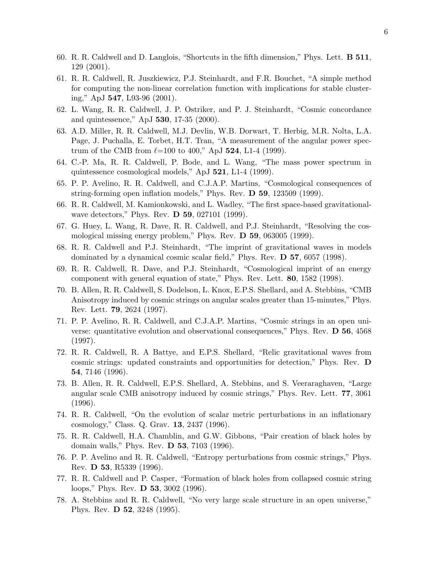- 60. R. R. Caldwell and D. Langlois, "Shortcuts in the fifth dimension," Phys. Lett. B 511, 129 (2001).
- 61. R. R. Caldwell, R. Juszkiewicz, P.J. Steinhardt, and F.R. Bouchet, "A simple method for computing the non-linear correlation function with implications for stable clustering," ApJ 547, L93-96 (2001).
- 62. L. Wang, R. R. Caldwell, J. P. Ostriker, and P. J. Steinhardt, "Cosmic concordance and quintessence," ApJ 530, 17-35 (2000).
- 63. A.D. Miller, R. R. Caldwell, M.J. Devlin, W.B. Dorwart, T. Herbig, M.R. Nolta, L.A. Page, J. Puchalla, E. Torbet, H.T. Tran, "A measurement of the angular power spectrum of the CMB from  $\ell = 100$  to 400," ApJ 524, L1-4 (1999).
- 64. C.-P. Ma, R. R. Caldwell, P. Bode, and L. Wang, "The mass power spectrum in quintessence cosmological models," ApJ 521, L1-4 (1999).
- 65. P. P. Avelino, R. R. Caldwell, and C.J.A.P. Martins, "Cosmological consequences of string-forming open inflation models," Phys. Rev. D 59, 123509 (1999).
- 66. R. R. Caldwell, M. Kamionkowski, and L. Wadley, "The first space-based gravitationalwave detectors," Phys. Rev. D 59, 027101 (1999).
- 67. G. Huey, L. Wang, R. Dave, R. R. Caldwell, and P.J. Steinhardt, "Resolving the cosmological missing energy problem," Phys. Rev. D 59, 063005 (1999).
- 68. R. R. Caldwell and P.J. Steinhardt, "The imprint of gravitational waves in models dominated by a dynamical cosmic scalar field," Phys. Rev. D 57, 6057 (1998).
- 69. R. R. Caldwell, R. Dave, and P.J. Steinhardt, "Cosmological imprint of an energy component with general equation of state," Phys. Rev. Lett. 80, 1582 (1998).
- 70. B. Allen, R. R. Caldwell, S. Dodelson, L. Knox, E.P.S. Shellard, and A. Stebbins, "CMB Anisotropy induced by cosmic strings on angular scales greater than 15-minutes," Phys. Rev. Lett. 79, 2624 (1997).
- 71. P. P. Avelino, R. R. Caldwell, and C.J.A.P. Martins, "Cosmic strings in an open universe: quantitative evolution and observational consequences," Phys. Rev. D 56, 4568 (1997).
- 72. R. R. Caldwell, R. A Battye, and E.P.S. Shellard, "Relic gravitational waves from cosmic strings: updated constraints and opportunities for detection," Phys. Rev. D 54, 7146 (1996).
- 73. B. Allen, R. R. Caldwell, E.P.S. Shellard, A. Stebbins, and S. Veeraraghaven, "Large angular scale CMB anisotropy induced by cosmic strings," Phys. Rev. Lett. 77, 3061 (1996).
- 74. R. R. Caldwell, "On the evolution of scalar metric perturbations in an inflationary cosmology," Class. Q. Grav. 13, 2437 (1996).
- 75. R. R. Caldwell, H.A. Chamblin, and G.W. Gibbons, "Pair creation of black holes by domain walls," Phys. Rev. D 53, 7103 (1996).
- 76. P. P. Avelino and R. R. Caldwell, "Entropy perturbations from cosmic strings," Phys. Rev. D 53, R5339 (1996).
- 77. R. R. Caldwell and P. Casper, "Formation of black holes from collapsed cosmic string loops," Phys. Rev. D 53, 3002 (1996).
- 78. A. Stebbins and R. R. Caldwell, "No very large scale structure in an open universe," Phys. Rev. D 52, 3248 (1995).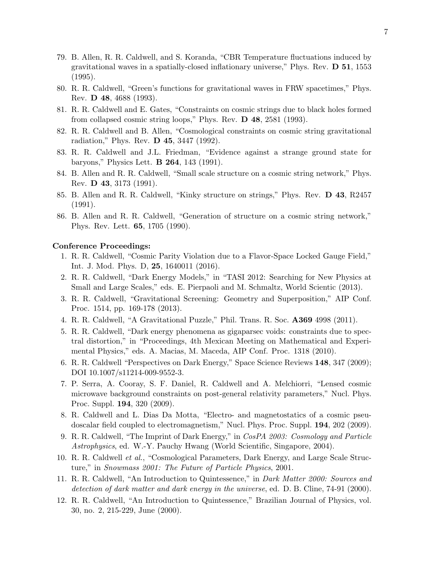- 79. B. Allen, R. R. Caldwell, and S. Koranda, "CBR Temperature fluctuations induced by gravitational waves in a spatially-closed inflationary universe," Phys. Rev. D 51, 1553 (1995).
- 80. R. R. Caldwell, "Green's functions for gravitational waves in FRW spacetimes," Phys. Rev. D 48, 4688 (1993).
- 81. R. R. Caldwell and E. Gates, "Constraints on cosmic strings due to black holes formed from collapsed cosmic string loops," Phys. Rev. D 48, 2581 (1993).
- 82. R. R. Caldwell and B. Allen, "Cosmological constraints on cosmic string gravitational radiation," Phys. Rev. D 45, 3447 (1992).
- 83. R. R. Caldwell and J.L. Friedman, "Evidence against a strange ground state for baryons," Physics Lett. B 264, 143 (1991).
- 84. B. Allen and R. R. Caldwell, "Small scale structure on a cosmic string network," Phys. Rev. D 43, 3173 (1991).
- 85. B. Allen and R. R. Caldwell, "Kinky structure on strings," Phys. Rev. D 43, R2457 (1991).
- 86. B. Allen and R. R. Caldwell, "Generation of structure on a cosmic string network," Phys. Rev. Lett. 65, 1705 (1990).

#### Conference Proceedings:

- 1. R. R. Caldwell, "Cosmic Parity Violation due to a Flavor-Space Locked Gauge Field," Int. J. Mod. Phys. D, 25, 1640011 (2016).
- 2. R. R. Caldwell, "Dark Energy Models," in "TASI 2012: Searching for New Physics at Small and Large Scales," eds. E. Pierpaoli and M. Schmaltz, World Scientic (2013).
- 3. R. R. Caldwell, "Gravitational Screening: Geometry and Superposition," AIP Conf. Proc. 1514, pp. 169-178 (2013).
- 4. R. R. Caldwell, "A Gravitational Puzzle," Phil. Trans. R. Soc. A369 4998 (2011).
- 5. R. R. Caldwell, "Dark energy phenomena as gigaparsec voids: constraints due to spectral distortion," in "Proceedings, 4th Mexican Meeting on Mathematical and Experimental Physics," eds. A. Macias, M. Maceda, AIP Conf. Proc. 1318 (2010).
- 6. R. R. Caldwell "Perspectives on Dark Energy," Space Science Reviews 148, 347 (2009); DOI 10.1007/s11214-009-9552-3.
- 7. P. Serra, A. Cooray, S. F. Daniel, R. Caldwell and A. Melchiorri, "Lensed cosmic microwave background constraints on post-general relativity parameters," Nucl. Phys. Proc. Suppl. 194, 320 (2009).
- 8. R. Caldwell and L. Dias Da Motta, "Electro- and magnetostatics of a cosmic pseudoscalar field coupled to electromagnetism," Nucl. Phys. Proc. Suppl. 194, 202 (2009).
- 9. R. R. Caldwell, "The Imprint of Dark Energy," in CosPA 2003: Cosmology and Particle Astrophysics, ed. W.-Y. Pauchy Hwang (World Scientific, Singapore, 2004).
- 10. R. R. Caldwell et al., "Cosmological Parameters, Dark Energy, and Large Scale Structure," in Snowmass 2001: The Future of Particle Physics, 2001.
- 11. R. R. Caldwell, "An Introduction to Quintessence," in Dark Matter 2000: Sources and detection of dark matter and dark energy in the universe, ed. D. B. Cline, 74-91 (2000).
- 12. R. R. Caldwell, "An Introduction to Quintessence," Brazilian Journal of Physics, vol. 30, no. 2, 215-229, June (2000).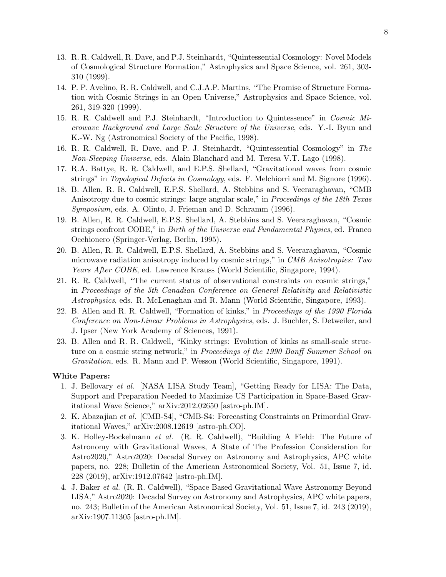- 13. R. R. Caldwell, R. Dave, and P.J. Steinhardt, "Quintessential Cosmology: Novel Models of Cosmological Structure Formation," Astrophysics and Space Science, vol. 261, 303- 310 (1999).
- 14. P. P. Avelino, R. R. Caldwell, and C.J.A.P. Martins, "The Promise of Structure Formation with Cosmic Strings in an Open Universe," Astrophysics and Space Science, vol. 261, 319-320 (1999).
- 15. R. R. Caldwell and P.J. Steinhardt, "Introduction to Quintessence" in Cosmic Microwave Background and Large Scale Structure of the Universe, eds. Y.-I. Byun and K.-W. Ng (Astronomical Society of the Pacific, 1998).
- 16. R. R. Caldwell, R. Dave, and P. J. Steinhardt, "Quintessential Cosmology" in The Non-Sleeping Universe, eds. Alain Blanchard and M. Teresa V.T. Lago (1998).
- 17. R.A. Battye, R. R. Caldwell, and E.P.S. Shellard, "Gravitational waves from cosmic strings" in *Topological Defects in Cosmology*, eds. F. Melchiorri and M. Signore (1996).
- 18. B. Allen, R. R. Caldwell, E.P.S. Shellard, A. Stebbins and S. Veeraraghavan, "CMB Anisotropy due to cosmic strings: large angular scale," in *Proceedings of the 18th Texas* Symposium, eds. A. Olinto, J. Frieman and D. Schramm (1996).
- 19. B. Allen, R. R. Caldwell, E.P.S. Shellard, A. Stebbins and S. Veeraraghavan, "Cosmic strings confront COBE," in Birth of the Universe and Fundamental Physics, ed. Franco Occhionero (Springer-Verlag, Berlin, 1995).
- 20. B. Allen, R. R. Caldwell, E.P.S. Shellard, A. Stebbins and S. Veeraraghavan, "Cosmic microwave radiation anisotropy induced by cosmic strings," in CMB Anisotropies: Two Years After COBE, ed. Lawrence Krauss (World Scientific, Singapore, 1994).
- 21. R. R. Caldwell, "The current status of observational constraints on cosmic strings," in Proceedings of the 5th Canadian Conference on General Relativity and Relativistic Astrophysics, eds. R. McLenaghan and R. Mann (World Scientific, Singapore, 1993).
- 22. B. Allen and R. R. Caldwell, "Formation of kinks," in Proceedings of the 1990 Florida Conference on Non-Linear Problems in Astrophysics, eds. J. Buchler, S. Detweiler, and J. Ipser (New York Academy of Sciences, 1991).
- 23. B. Allen and R. R. Caldwell, "Kinky strings: Evolution of kinks as small-scale structure on a cosmic string network," in Proceedings of the 1990 Banff Summer School on Gravitation, eds. R. Mann and P. Wesson (World Scientific, Singapore, 1991).

## White Papers:

- 1. J. Bellovary et al. [NASA LISA Study Team], "Getting Ready for LISA: The Data, Support and Preparation Needed to Maximize US Participation in Space-Based Gravitational Wave Science," arXiv:2012.02650 [astro-ph.IM].
- 2. K. Abazajian et al. [CMB-S4], "CMB-S4: Forecasting Constraints on Primordial Gravitational Waves," arXiv:2008.12619 [astro-ph.CO].
- 3. K. Holley-Bockelmann et al. (R. R. Caldwell), "Building A Field: The Future of Astronomy with Gravitational Waves, A State of The Profession Consideration for Astro2020," Astro2020: Decadal Survey on Astronomy and Astrophysics, APC white papers, no. 228; Bulletin of the American Astronomical Society, Vol. 51, Issue 7, id. 228 (2019), arXiv:1912.07642 [astro-ph.IM].
- 4. J. Baker et al. (R. R. Caldwell), "Space Based Gravitational Wave Astronomy Beyond LISA," Astro2020: Decadal Survey on Astronomy and Astrophysics, APC white papers, no. 243; Bulletin of the American Astronomical Society, Vol. 51, Issue 7, id. 243 (2019), arXiv:1907.11305 [astro-ph.IM].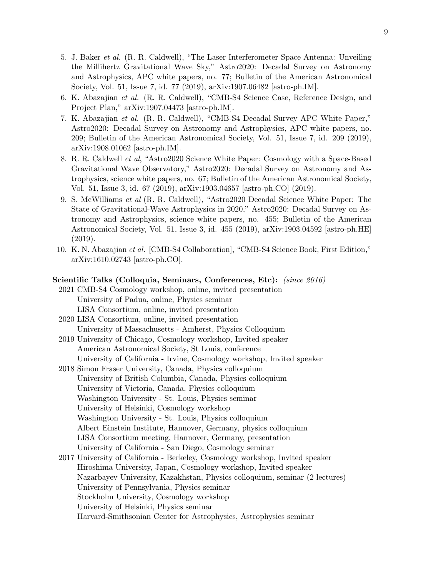- 5. J. Baker et al. (R. R. Caldwell), "The Laser Interferometer Space Antenna: Unveiling the Millihertz Gravitational Wave Sky," Astro2020: Decadal Survey on Astronomy and Astrophysics, APC white papers, no. 77; Bulletin of the American Astronomical Society, Vol. 51, Issue 7, id. 77 (2019), arXiv:1907.06482 [astro-ph.IM].
- 6. K. Abazajian et al. (R. R. Caldwell), "CMB-S4 Science Case, Reference Design, and Project Plan," arXiv:1907.04473 [astro-ph.IM].
- 7. K. Abazajian et al. (R. R. Caldwell), "CMB-S4 Decadal Survey APC White Paper," Astro2020: Decadal Survey on Astronomy and Astrophysics, APC white papers, no. 209; Bulletin of the American Astronomical Society, Vol. 51, Issue 7, id. 209 (2019), arXiv:1908.01062 [astro-ph.IM].
- 8. R. R. Caldwell et al, "Astro2020 Science White Paper: Cosmology with a Space-Based Gravitational Wave Observatory," Astro2020: Decadal Survey on Astronomy and Astrophysics, science white papers, no. 67; Bulletin of the American Astronomical Society, Vol. 51, Issue 3, id. 67 (2019), arXiv:1903.04657 [astro-ph.CO] (2019).
- 9. S. McWilliams et al (R. R. Caldwell), "Astro2020 Decadal Science White Paper: The State of Gravitational-Wave Astrophysics in 2020," Astro2020: Decadal Survey on Astronomy and Astrophysics, science white papers, no. 455; Bulletin of the American Astronomical Society, Vol. 51, Issue 3, id. 455 (2019), arXiv:1903.04592 [astro-ph.HE] (2019).
- 10. K. N. Abazajian et al. [CMB-S4 Collaboration], "CMB-S4 Science Book, First Edition," arXiv:1610.02743 [astro-ph.CO].

## Scientific Talks (Colloquia, Seminars, Conferences, Etc): (since 2016)

- 2021 CMB-S4 Cosmology workshop, online, invited presentation University of Padua, online, Physics seminar LISA Consortium, online, invited presentation
- 2020 LISA Consortium, online, invited presentation University of Massachusetts - Amherst, Physics Colloquium
- 2019 University of Chicago, Cosmology workshop, Invited speaker American Astronomical Society, St Louis, conference University of California - Irvine, Cosmology workshop, Invited speaker
- 2018 Simon Fraser University, Canada, Physics colloquium University of British Columbia, Canada, Physics colloquium University of Victoria, Canada, Physics colloquium Washington University - St. Louis, Physics seminar University of Helsinki, Cosmology workshop Washington University - St. Louis, Physics colloquium Albert Einstein Institute, Hannover, Germany, physics colloquium LISA Consortium meeting, Hannover, Germany, presentation University of California - San Diego, Cosmology seminar 2017 University of California - Berkeley, Cosmology workshop, Invited speaker
- Hiroshima University, Japan, Cosmology workshop, Invited speaker Nazarbayev University, Kazakhstan, Physics colloquium, seminar (2 lectures) University of Pennsylvania, Physics seminar Stockholm University, Cosmology workshop University of Helsinki, Physics seminar Harvard-Smithsonian Center for Astrophysics, Astrophysics seminar